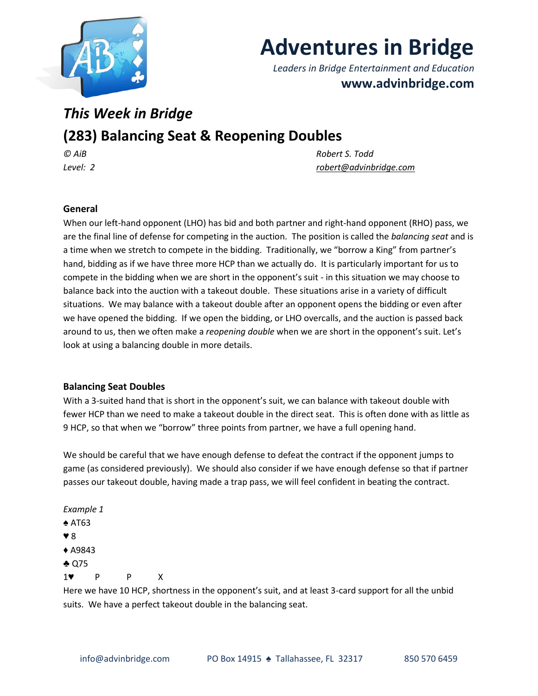

# **Adventures in Bridge**

*Leaders in Bridge Entertainment and Education* **www.advinbridge.com**

# *This Week in Bridge*

# **(283) Balancing Seat & Reopening Doubles**

*© AiB Robert S. Todd Level: 2 [robert@advinbridge.com](mailto:robert@advinbridge.com)*

## **General**

When our left-hand opponent (LHO) has bid and both partner and right-hand opponent (RHO) pass, we are the final line of defense for competing in the auction. The position is called the *balancing seat* and is a time when we stretch to compete in the bidding. Traditionally, we "borrow a King" from partner's hand, bidding as if we have three more HCP than we actually do. It is particularly important for us to compete in the bidding when we are short in the opponent's suit - in this situation we may choose to balance back into the auction with a takeout double. These situations arise in a variety of difficult situations. We may balance with a takeout double after an opponent opens the bidding or even after we have opened the bidding. If we open the bidding, or LHO overcalls, and the auction is passed back around to us, then we often make a *reopening double* when we are short in the opponent's suit. Let's look at using a balancing double in more details.

## **Balancing Seat Doubles**

With a 3-suited hand that is short in the opponent's suit, we can balance with takeout double with fewer HCP than we need to make a takeout double in the direct seat. This is often done with as little as 9 HCP, so that when we "borrow" three points from partner, we have a full opening hand.

We should be careful that we have enough defense to defeat the contract if the opponent jumps to game (as considered previously). We should also consider if we have enough defense so that if partner passes our takeout double, having made a trap pass, we will feel confident in beating the contract.

*Example 1* ♠ AT63 ♥ 8 ♦ A9843 ♣ Q75 1♥ P P X

Here we have 10 HCP, shortness in the opponent's suit, and at least 3-card support for all the unbid suits. We have a perfect takeout double in the balancing seat.